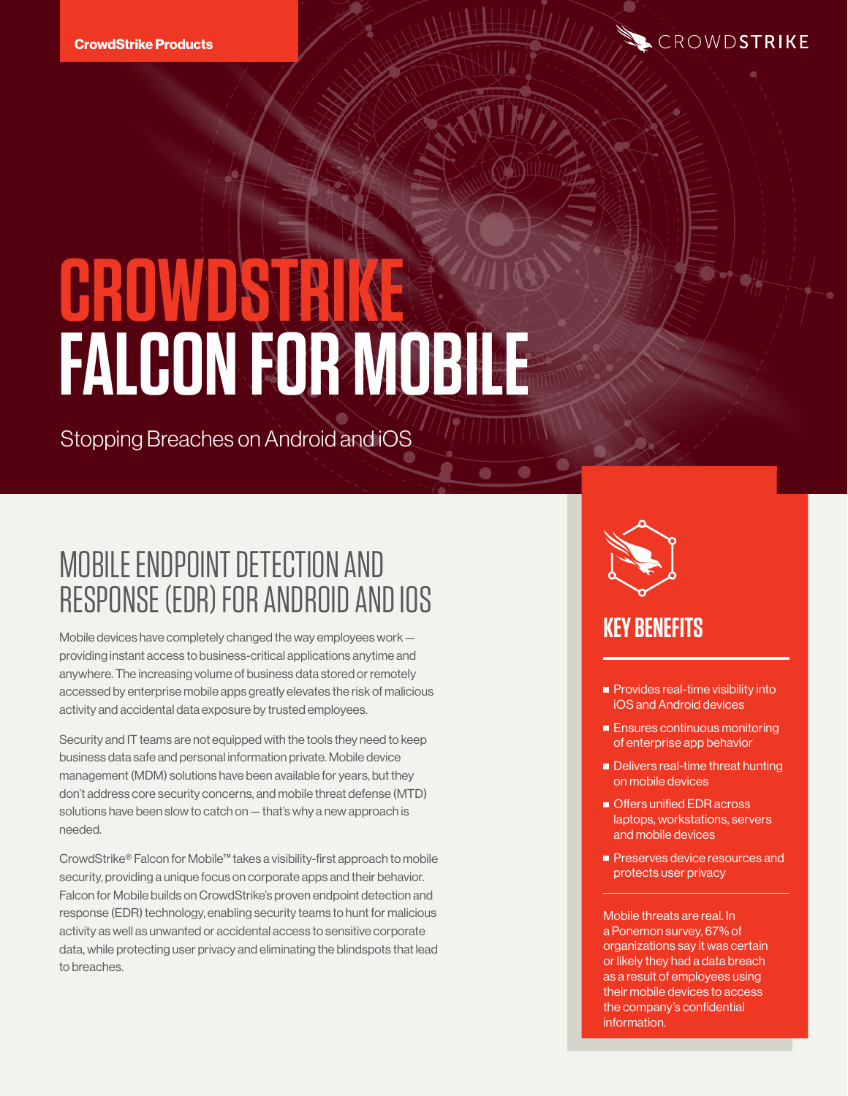

# **CROWDSTRIKE FALCON FOR MOBILE**

Stopping Breaches on Android and iOS

## MOBILE ENDPOINT DETECTION AND RESPONSE (EDR) FOR ANDROID AND IOS

Mobile devices have completely changed the way employees work providing instant access to business-critical applications anytime and anywhere. The increasing volume of business data stored or remotely accessed by enterprise mobile apps greatly elevates the risk of malicious activity and accidental data exposure by trusted employees.

Security and IT teams are not equipped with the tools they need to keep business data safe and personal information private. Mobile device management (MDM) solutions have been available for years, but they don't address core security concerns, and mobile threat defense (MTD) solutions have been slow to catch on — that's why a new approach is needed.

CrowdStrike® Falcon for Mobile™ takes a visibility-first approach to mobile security, providing a unique focus on corporate apps and their behavior. Falcon for Mobile builds on CrowdStrike's proven endpoint detection and response (EDR) technology, enabling security teams to hunt for malicious activity as well as unwanted or accidental access to sensitive corporate data, while protecting user privacy and eliminating the blindspots that lead to breaches.



## **KEY BENEFITS**

- **Provides real-time visibility into** iOS and Android devices
- **Ensures continuous monitoring** of enterprise app behavior
- Delivers real-time threat hunting on mobile devices
- Offers unified EDR across laptops, workstations, servers and mobile devices
- Preserves device resources and protects user privacy

Mobile threats are real. In a Ponemon survey, 67% of organizations say it was certain or likely they had a data breach as a result of employees using their mobile devices to access the company's confidential information.